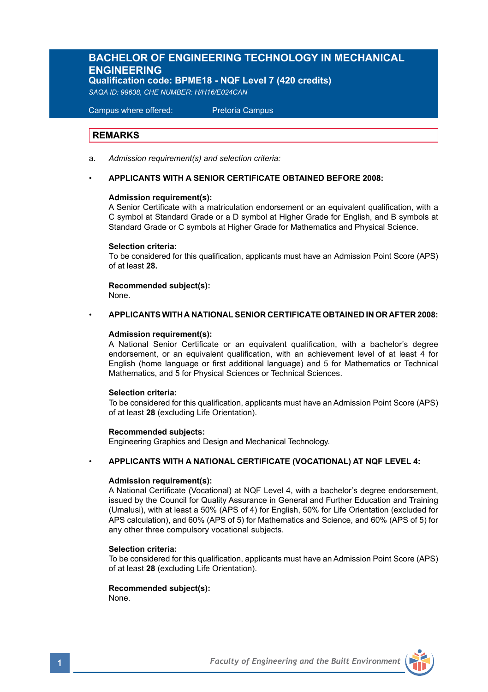# **BACHELOR OF ENGINEERING TECHNOLOGY IN MECHANICAL ENGINEERING**

**Qualification code: BPME18 - NQF Level 7 (420 credits)** 

*SAQA ID: 99638, CHE NUMBER: H/H16/E024CAN*

Campus where offered: Pretoria Campus

## **REMARKS**

a. *Admission requirement(s) and selection criteria:*

## • **APPLICANTS WITH A SENIOR CERTIFICATE OBTAINED BEFORE 2008:**

### **Admission requirement(s):**

A Senior Certificate with a matriculation endorsement or an equivalent qualification, with a C symbol at Standard Grade or a D symbol at Higher Grade for English, and B symbols at Standard Grade or C symbols at Higher Grade for Mathematics and Physical Science.

### **Selection criteria:**

To be considered for this qualification, applicants must have an Admission Point Score (APS) of at least **28.**

**Recommended subject(s):**

None.

## • **APPLICANTS WITH A NATIONAL SENIOR CERTIFICATE OBTAINED IN OR AFTER 2008:**

### **Admission requirement(s):**

A National Senior Certificate or an equivalent qualification, with a bachelor's degree endorsement, or an equivalent qualification, with an achievement level of at least 4 for English (home language or first additional language) and 5 for Mathematics or Technical Mathematics, and 5 for Physical Sciences or Technical Sciences.

### **Selection criteria:**

To be considered for this qualification, applicants must have an Admission Point Score (APS) of at least **28** (excluding Life Orientation).

### **Recommended subjects:**

Engineering Graphics and Design and Mechanical Technology.

### • **APPLICANTS WITH A NATIONAL CERTIFICATE (VOCATIONAL) AT NQF LEVEL 4:**

### **Admission requirement(s):**

A National Certificate (Vocational) at NQF Level 4, with a bachelor's degree endorsement, issued by the Council for Quality Assurance in General and Further Education and Training (Umalusi), with at least a 50% (APS of 4) for English, 50% for Life Orientation (excluded for APS calculation), and 60% (APS of 5) for Mathematics and Science, and 60% (APS of 5) for any other three compulsory vocational subjects.

## **Selection criteria:**

To be considered for this qualification, applicants must have an Admission Point Score (APS) of at least **28** (excluding Life Orientation).

# **Recommended subject(s):**

None.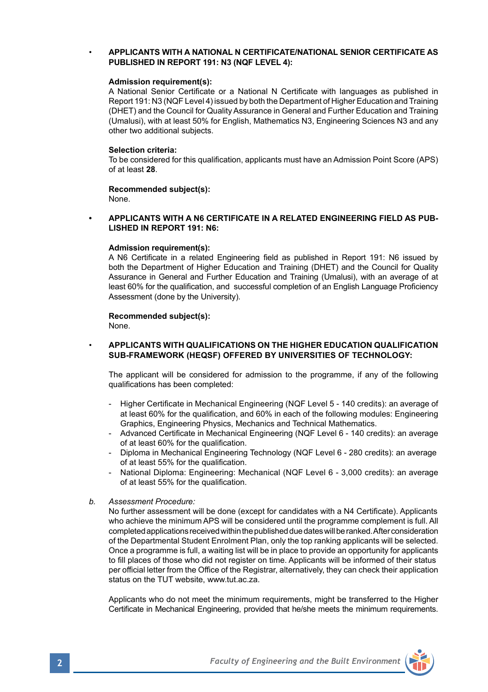## • **APPLICANTS WITH A NATIONAL N CERTIFICATE/NATIONAL SENIOR CERTIFICATE AS PUBLISHED IN REPORT 191: N3 (NQF LEVEL 4):**

### **Admission requirement(s):**

A National Senior Certificate or a National N Certificate with languages as published in Report 191: N3 (NQF Level 4) issued by both the Department of Higher Education and Training (DHET) and the Council for Quality Assurance in General and Further Education and Training (Umalusi), with at least 50% for English, Mathematics N3, Engineering Sciences N3 and any other two additional subjects.

### **Selection criteria:**

To be considered for this qualification, applicants must have an Admission Point Score (APS) of at least **28**.

# **Recommended subject(s):**

None.

### **• APPLICANTS WITH A N6 CERTIFICATE IN A RELATED ENGINEERING FIELD AS PUB-LISHED IN REPORT 191: N6:**

### **Admission requirement(s):**

A N6 Certificate in a related Engineering field as published in Report 191: N6 issued by both the Department of Higher Education and Training (DHET) and the Council for Quality Assurance in General and Further Education and Training (Umalusi), with an average of at least 60% for the qualification, and successful completion of an English Language Proficiency Assessment (done by the University).

## **Recommended subject(s):**

None.

### • **APPLICANTS WITH QUALIFICATIONS ON THE HIGHER EDUCATION QUALIFICATION SUB-FRAMEWORK (HEQSF) OFFERED BY UNIVERSITIES OF TECHNOLOGY:**

The applicant will be considered for admission to the programme, if any of the following qualifications has been completed:

- Higher Certificate in Mechanical Engineering (NQF Level 5 140 credits): an average of at least 60% for the qualification, and 60% in each of the following modules: Engineering Graphics, Engineering Physics, Mechanics and Technical Mathematics.
- Advanced Certificate in Mechanical Engineering (NQF Level 6 140 credits): an average of at least 60% for the qualification.
- Diploma in Mechanical Engineering Technology (NQF Level 6 280 credits): an average of at least 55% for the qualification.
- National Diploma: Engineering: Mechanical (NQF Level 6 3,000 credits): an average of at least 55% for the qualification.
- *b. Assessment Procedure:*

No further assessment will be done (except for candidates with a N4 Certificate). Applicants who achieve the minimum APS will be considered until the programme complement is full. All completed applications received within the published due dates will be ranked. After consideration of the Departmental Student Enrolment Plan, only the top ranking applicants will be selected. Once a programme is full, a waiting list will be in place to provide an opportunity for applicants to fill places of those who did not register on time. Applicants will be informed of their status per official letter from the Office of the Registrar, alternatively, they can check their application status on the TUT website, www.tut.ac.za.

Applicants who do not meet the minimum requirements, might be transferred to the Higher Certificate in Mechanical Engineering, provided that he/she meets the minimum requirements.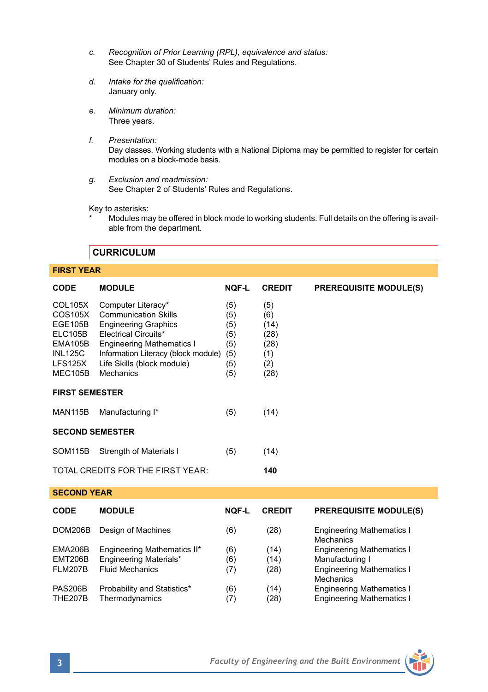- *c. Recognition of Prior Learning (RPL), equivalence and status:* See Chapter 30 of Students' Rules and Regulations.
- *d. Intake for the qualification:* January only.
- *e. Minimum duration:* Three years.
- *f. Presentation:* Day classes. Working students with a National Diploma may be permitted to register for certain modules on a block-mode basis.
- *g. Exclusion and readmission:* See Chapter 2 of Students' Rules and Regulations.

Key to asterisks:

Modules may be offered in block mode to working students. Full details on the offering is available from the department.

## **FIRST YEAR**

| <b>CODE</b>                                                                                               | <b>MODULE</b>                                                                                                                                                                                                                  | <b>NOF-L</b>                                         | <b>CREDIT</b>                                            | <b>PREREQUISITE MODULE(S)</b>                        |  |  |  |  |
|-----------------------------------------------------------------------------------------------------------|--------------------------------------------------------------------------------------------------------------------------------------------------------------------------------------------------------------------------------|------------------------------------------------------|----------------------------------------------------------|------------------------------------------------------|--|--|--|--|
| <b>COL105X</b><br>COS105X<br><b>EGE105B</b><br>ELC105B<br>EMA105B<br><b>INL125C</b><br>LFS125X<br>MEC105B | Computer Literacy*<br><b>Communication Skills</b><br><b>Engineering Graphics</b><br>Electrical Circuits*<br><b>Engineering Mathematics I</b><br>Information Literacy (block module)<br>Life Skills (block module)<br>Mechanics | (5)<br>(5)<br>(5)<br>(5)<br>(5)<br>(5)<br>(5)<br>(5) | (5)<br>(6)<br>(14)<br>(28)<br>(28)<br>(1)<br>(2)<br>(28) |                                                      |  |  |  |  |
| <b>FIRST SEMESTER</b>                                                                                     |                                                                                                                                                                                                                                |                                                      |                                                          |                                                      |  |  |  |  |
| <b>MAN115B</b>                                                                                            | Manufacturing I*                                                                                                                                                                                                               | (5)                                                  | (14)                                                     |                                                      |  |  |  |  |
| <b>SECOND SEMESTER</b>                                                                                    |                                                                                                                                                                                                                                |                                                      |                                                          |                                                      |  |  |  |  |
| SOM <sub>115</sub> B                                                                                      | Strength of Materials I                                                                                                                                                                                                        | (5)                                                  | (14)                                                     |                                                      |  |  |  |  |
| TOTAL CREDITS FOR THE FIRST YEAR:<br>140                                                                  |                                                                                                                                                                                                                                |                                                      |                                                          |                                                      |  |  |  |  |
| <b>SECOND YEAR</b>                                                                                        |                                                                                                                                                                                                                                |                                                      |                                                          |                                                      |  |  |  |  |
| <b>CODE</b>                                                                                               | <b>MODULE</b>                                                                                                                                                                                                                  | <b>NOF-L</b>                                         | <b>CREDIT</b>                                            | <b>PREREQUISITE MODULE(S)</b>                        |  |  |  |  |
| DOM206B                                                                                                   | Design of Machines                                                                                                                                                                                                             | (6)                                                  | (28)                                                     | <b>Engineering Mathematics I</b><br><b>Mechanics</b> |  |  |  |  |
| <b>EMA206B</b>                                                                                            | Engineering Mathematics II*                                                                                                                                                                                                    | (6)                                                  | (14)                                                     | <b>Engineering Mathematics I</b>                     |  |  |  |  |
| EMT206B                                                                                                   | Engineering Materials*                                                                                                                                                                                                         | (6)                                                  | (14)                                                     | Manufacturing I                                      |  |  |  |  |
| <b>FLM207B</b>                                                                                            | <b>Fluid Mechanics</b>                                                                                                                                                                                                         | (7)                                                  | (28)                                                     | <b>Engineering Mathematics I</b><br><b>Mechanics</b> |  |  |  |  |
| <b>PAS206B</b>                                                                                            | Probability and Statistics*                                                                                                                                                                                                    | (6)                                                  | (14)                                                     | <b>Engineering Mathematics I</b>                     |  |  |  |  |
| <b>THE207B</b>                                                                                            | Thermodvnamics                                                                                                                                                                                                                 | (7)                                                  | (28)                                                     | <b>Engineering Mathematics I</b>                     |  |  |  |  |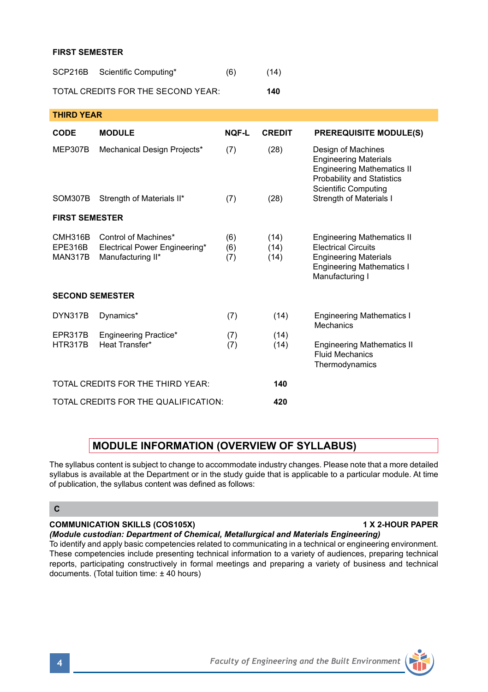## **FIRST SEMESTER**

| SCP216B | Scientific Computing*              | (6) | (14) |
|---------|------------------------------------|-----|------|
|         | TOTAL CREDITS FOR THE SECOND YEAR: |     | 140  |

**THIRD YEAR**

| <b>CODE</b>                   | <b>MODULE</b>                                                              | NOF-L             | <b>CREDIT</b>        | <b>PREREQUISITE MODULE(S)</b>                                                                                                                               |  |  |  |
|-------------------------------|----------------------------------------------------------------------------|-------------------|----------------------|-------------------------------------------------------------------------------------------------------------------------------------------------------------|--|--|--|
| MEP307B                       | Mechanical Design Projects*                                                | (7)               | (28)                 | Design of Machines<br><b>Engineering Materials</b><br><b>Engineering Mathematics II</b><br><b>Probability and Statistics</b><br><b>Scientific Computing</b> |  |  |  |
| SOM307B                       | Strength of Materials II*                                                  | (7)               | (28)                 | Strength of Materials I                                                                                                                                     |  |  |  |
| <b>FIRST SEMESTER</b>         |                                                                            |                   |                      |                                                                                                                                                             |  |  |  |
| CMH316B<br>EPE316B<br>MAN317B | Control of Machines*<br>Electrical Power Engineering*<br>Manufacturing II* | (6)<br>(6)<br>(7) | (14)<br>(14)<br>(14) | <b>Engineering Mathematics II</b><br><b>Electrical Circuits</b><br><b>Engineering Materials</b><br><b>Engineering Mathematics I</b><br>Manufacturing I      |  |  |  |
| <b>SECOND SEMESTER</b>        |                                                                            |                   |                      |                                                                                                                                                             |  |  |  |
| DYN317B                       | Dynamics*                                                                  | (7)               | (14)                 | <b>Engineering Mathematics I</b><br>Mechanics                                                                                                               |  |  |  |
| EPR317B<br><b>HTR317B</b>     | Engineering Practice*<br>Heat Transfer*                                    | (7)<br>(7)        | (14)<br>(14)         | <b>Engineering Mathematics II</b><br><b>Fluid Mechanics</b><br>Thermodynamics                                                                               |  |  |  |
|                               | TOTAL CREDITS FOR THE THIRD YEAR:                                          | 140               |                      |                                                                                                                                                             |  |  |  |
|                               | TOTAL CREDITS FOR THE QUALIFICATION:                                       | 420               |                      |                                                                                                                                                             |  |  |  |

# **MODULE INFORMATION (OVERVIEW OF SYLLABUS)**

The syllabus content is subject to change to accommodate industry changes. Please note that a more detailed syllabus is available at the Department or in the study guide that is applicable to a particular module. At time of publication, the syllabus content was defined as follows:

## **C**

## **COMMUNICATION SKILLS (COS105X) 1 X 2-HOUR PAPER**

*(Module custodian: Department of Chemical, Metallurgical and Materials Engineering)*

To identify and apply basic competencies related to communicating in a technical or engineering environment. These competencies include presenting technical information to a variety of audiences, preparing technical reports, participating constructively in formal meetings and preparing a variety of business and technical documents. (Total tuition time: ± 40 hours)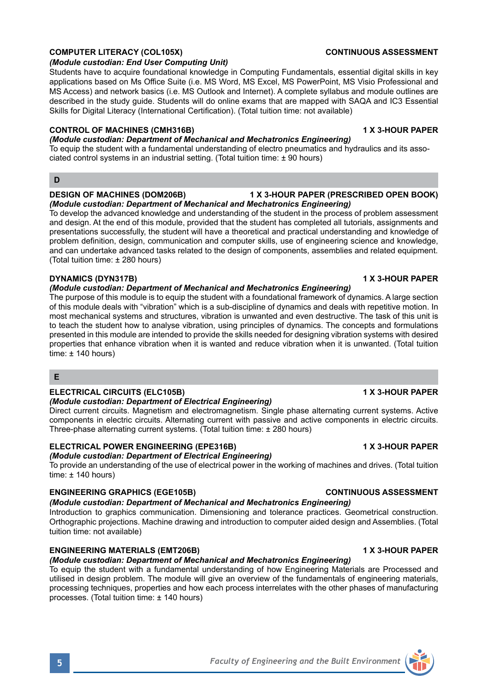## **COMPUTER LITERACY (COL105X) CONTINUOUS ASSESSMENT**

### *(Module custodian: End User Computing Unit)*

Students have to acquire foundational knowledge in Computing Fundamentals, essential digital skills in key applications based on Ms Office Suite (i.e. MS Word, MS Excel, MS PowerPoint, MS Visio Professional and MS Access) and network basics (i.e. MS Outlook and Internet). A complete syllabus and module outlines are described in the study guide. Students will do online exams that are mapped with SAQA and IC3 Essential Skills for Digital Literacy (International Certification). (Total tuition time: not available)

### **CONTROL OF MACHINES (CMH316B) 1 X 3-HOUR PAPER**

### *(Module custodian: Department of Mechanical and Mechatronics Engineering)*

To equip the student with a fundamental understanding of electro pneumatics and hydraulics and its associated control systems in an industrial setting. (Total tuition time: ± 90 hours)

## **D**

### **DESIGN OF MACHINES (DOM206B) 1 X 3-HOUR PAPER (PRESCRIBED OPEN BOOK)**

*(Module custodian: Department of Mechanical and Mechatronics Engineering)*

To develop the advanced knowledge and understanding of the student in the process of problem assessment and design. At the end of this module, provided that the student has completed all tutorials, assignments and presentations successfully, the student will have a theoretical and practical understanding and knowledge of problem definition, design, communication and computer skills, use of engineering science and knowledge, and can undertake advanced tasks related to the design of components, assemblies and related equipment. (Total tuition time: ± 280 hours)

### **DYNAMICS (DYN317B) 1 X 3-HOUR PAPER**

### *(Module custodian: Department of Mechanical and Mechatronics Engineering)*

The purpose of this module is to equip the student with a foundational framework of dynamics. A large section of this module deals with "vibration" which is a sub-discipline of dynamics and deals with repetitive motion. In most mechanical systems and structures, vibration is unwanted and even destructive. The task of this unit is to teach the student how to analyse vibration, using principles of dynamics. The concepts and formulations presented in this module are intended to provide the skills needed for designing vibration systems with desired properties that enhance vibration when it is wanted and reduce vibration when it is unwanted. (Total tuition time:  $± 140$  hours)

## **E**

## **ELECTRICAL CIRCUITS (ELC105B) 1 X 3-HOUR PAPER**

## *(Module custodian: Department of Electrical Engineering)*

Direct current circuits. Magnetism and electromagnetism. Single phase alternating current systems. Active components in electric circuits. Alternating current with passive and active components in electric circuits. Three-phase alternating current systems. (Total tuition time: ± 280 hours)

## **ELECTRICAL POWER ENGINEERING (EPE316B) 1 X 3-HOUR PAPER**

## *(Module custodian: Department of Electrical Engineering)*

To provide an understanding of the use of electrical power in the working of machines and drives. (Total tuition time:  $± 140$  hours)

## **ENGINEERING GRAPHICS (EGE105B) CONTINUOUS ASSESSMENT**

# *(Module custodian: Department of Mechanical and Mechatronics Engineering)*

Introduction to graphics communication. Dimensioning and tolerance practices. Geometrical construction. Orthographic projections. Machine drawing and introduction to computer aided design and Assemblies. (Total tuition time: not available)

## **ENGINEERING MATERIALS (EMT206B) 1 X 3-HOUR PAPER**

## *(Module custodian: Department of Mechanical and Mechatronics Engineering)*

To equip the student with a fundamental understanding of how Engineering Materials are Processed and utilised in design problem. The module will give an overview of the fundamentals of engineering materials, processing techniques, properties and how each process interrelates with the other phases of manufacturing processes. (Total tuition time: ± 140 hours)

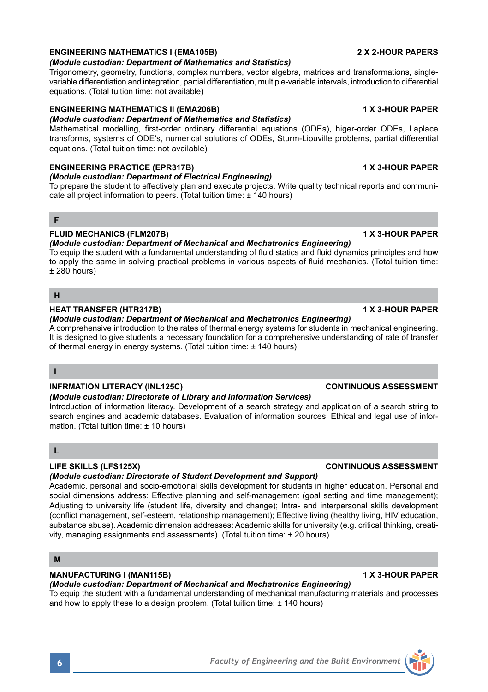## **ENGINEERING MATHEMATICS I (EMA105B) 2 X 2-HOUR PAPERS**

## *(Module custodian: Department of Mathematics and Statistics)*

Trigonometry, geometry, functions, complex numbers, vector algebra, matrices and transformations, singlevariable differentiation and integration, partial differentiation, multiple-variable intervals, introduction to differential equations. (Total tuition time: not available)

## **ENGINEERING MATHEMATICS II (EMA206B) 1 X 3-HOUR PAPER**

*(Module custodian: Department of Mathematics and Statistics)* Mathematical modelling, first-order ordinary differential equations (ODEs), higer-order ODEs, Laplace transforms, systems of ODE's, numerical solutions of ODEs, Sturm-Liouville problems, partial differential

## **ENGINEERING PRACTICE (EPR317B) 1 X 3-HOUR PAPER**

equations. (Total tuition time: not available)

## *(Module custodian: Department of Electrical Engineering)*

To prepare the student to effectively plan and execute projects. Write quality technical reports and communicate all project information to peers. (Total tuition time: ± 140 hours)

## **F**

## **FLUID MECHANICS (FLM207B) 1 X 3-HOUR PAPER**

*(Module custodian: Department of Mechanical and Mechatronics Engineering)*

To equip the student with a fundamental understanding of fluid statics and fluid dynamics principles and how to apply the same in solving practical problems in various aspects of fluid mechanics. (Total tuition time: ± 280 hours)

## **H**

## **HEAT TRANSFER (HTR317B) 1 X 3-HOUR PAPER**

## *(Module custodian: Department of Mechanical and Mechatronics Engineering)*

A comprehensive introduction to the rates of thermal energy systems for students in mechanical engineering. It is designed to give students a necessary foundation for a comprehensive understanding of rate of transfer of thermal energy in energy systems. (Total tuition time: ± 140 hours)

## **I**

## **INFRMATION LITERACY (INL125C) CONTINUOUS ASSESSMENT**

## *(Module custodian: Directorate of Library and Information Services)*

Introduction of information literacy. Development of a search strategy and application of a search string to search engines and academic databases. Evaluation of information sources. Ethical and legal use of information. (Total tuition time: ± 10 hours)

## **L**

## **LIFE SKILLS (LFS125X) CONTINUOUS ASSESSMENT**

## *(Module custodian: Directorate of Student Development and Support)*

Academic, personal and socio-emotional skills development for students in higher education. Personal and social dimensions address: Effective planning and self-management (goal setting and time management); Adjusting to university life (student life, diversity and change); Intra- and interpersonal skills development (conflict management, self-esteem, relationship management); Effective living (healthy living, HIV education, substance abuse). Academic dimension addresses: Academic skills for university (e.g. critical thinking, creativity, managing assignments and assessments). (Total tuition time: ± 20 hours)

## **M**

### **MANUFACTURING I (MAN115B) 1 X 3-HOUR PAPER**

# *(Module custodian: Department of Mechanical and Mechatronics Engineering)*

To equip the student with a fundamental understanding of mechanical manufacturing materials and processes and how to apply these to a design problem. (Total tuition time: ± 140 hours)